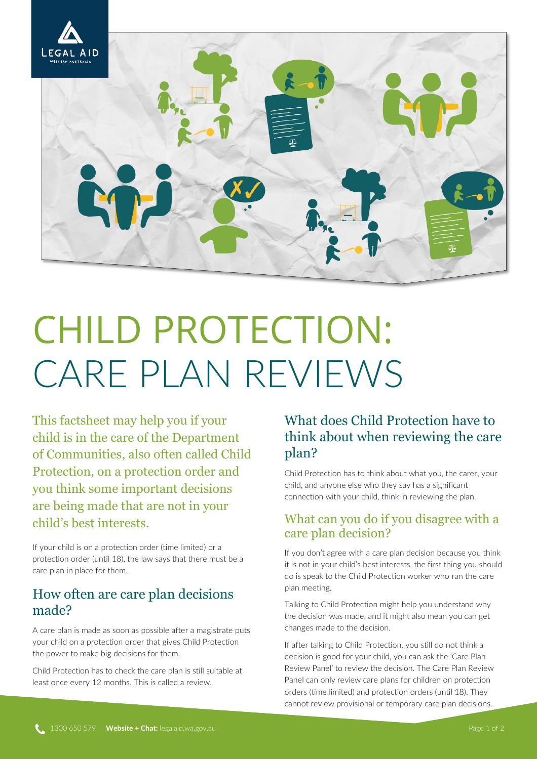

# CHILD PROTECTION: CARE PLAN REVIEWS

This factsheet may help you if your child is in the care of the Department of Communities, also often called Child Protection, on a protection order and you think some important decisions are being made that are not in your child's best interests.

If your child is on a protection order (time limited) or a protection order (until 18), the law says that there must be a care plan in place for them.

## How often are care plan decisions made?

A care plan is made as soon as possible after a magistrate puts your child on a protection order that gives Child Protection the power to make big decisions for them.

Child Protection has to check the care plan is still suitable at least once every 12 months. This is called a review.

# What does Child Protection have to think about when reviewing the care plan?

Child Protection has to think about what you, the carer, your child, and anyone else who they say has a significant connection with your child, think in reviewing the plan.

### What can you do if you disagree with a care plan decision?

If you don't agree with a care plan decision because you think it is not in your child's best interests, the first thing you should do is speak to the Child Protection worker who ran the care plan meeting.

Talking to Child Protection might help you understand why the decision was made, and it might also mean you can get changes made to the decision.

If after talking to Child Protection, you still do not think a decision is good for your child, you can ask the 'Care Plan Review Panel' to review the decision. The Care Plan Review Panel can only review care plans for children on protection orders (time limited) and protection orders (until 18). They cannot review provisional or temporary care plan decisions.